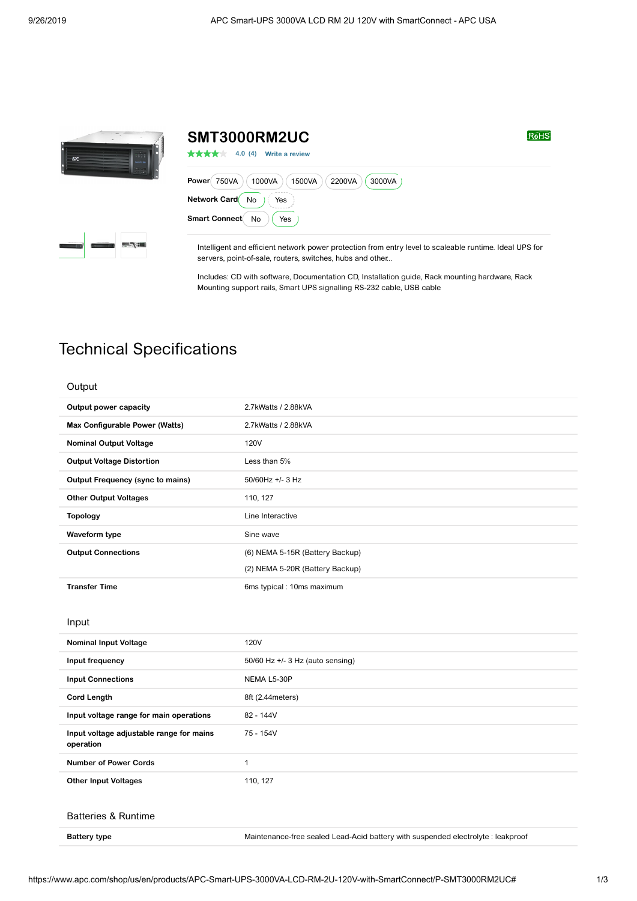



| SMT3000RM2UC                                                  | <b>RoHS</b> |
|---------------------------------------------------------------|-------------|
| 4.0(4)<br>大大大大大<br>Write a review                             |             |
| 750VA<br>1000VA<br>1500VA<br>2200VA<br><b>Power</b><br>3000VA |             |
| <b>No</b><br>Network Card<br>Yes                              |             |
| <b>Smart Connect</b><br>No<br>Yes                             |             |

Intelligent and efficient network power protection from entry level to scaleable runtime. Ideal UPS for servers, point-of-sale, routers, switches, hubs and other...

Includes: CD with software, Documentation CD, Installation guide, Rack mounting hardware, Rack Mounting support rails, Smart UPS signalling RS-232 cable, USB cable

## Technical Specifications

| Output |  |
|--------|--|
|        |  |

| Output power capacity                                 | 2.7kWatts / 2.88kVA                                                              |
|-------------------------------------------------------|----------------------------------------------------------------------------------|
| Max Configurable Power (Watts)                        | 2.7kWatts / 2.88kVA                                                              |
| <b>Nominal Output Voltage</b>                         | <b>120V</b>                                                                      |
| <b>Output Voltage Distortion</b>                      | Less than 5%                                                                     |
| <b>Output Frequency (sync to mains)</b>               | 50/60Hz +/- 3 Hz                                                                 |
| <b>Other Output Voltages</b>                          | 110, 127                                                                         |
| <b>Topology</b>                                       | Line Interactive                                                                 |
| Waveform type                                         | Sine wave                                                                        |
| <b>Output Connections</b>                             | (6) NEMA 5-15R (Battery Backup)                                                  |
|                                                       | (2) NEMA 5-20R (Battery Backup)                                                  |
| <b>Transfer Time</b>                                  | 6ms typical : 10ms maximum                                                       |
|                                                       |                                                                                  |
| Input                                                 |                                                                                  |
| <b>Nominal Input Voltage</b>                          | <b>120V</b>                                                                      |
| Input frequency                                       | 50/60 Hz +/- 3 Hz (auto sensing)                                                 |
| <b>Input Connections</b>                              | NEMA L5-30P                                                                      |
| <b>Cord Length</b>                                    | 8ft (2.44 meters)                                                                |
| Input voltage range for main operations               | 82 - 144V                                                                        |
| Input voltage adjustable range for mains<br>operation | 75 - 154V                                                                        |
| <b>Number of Power Cords</b>                          | 1                                                                                |
| <b>Other Input Voltages</b>                           | 110, 127                                                                         |
|                                                       |                                                                                  |
| <b>Batteries &amp; Runtime</b>                        |                                                                                  |
| <b>Battery type</b>                                   | Maintenance-free sealed Lead-Acid battery with suspended electrolyte : leakproof |
|                                                       |                                                                                  |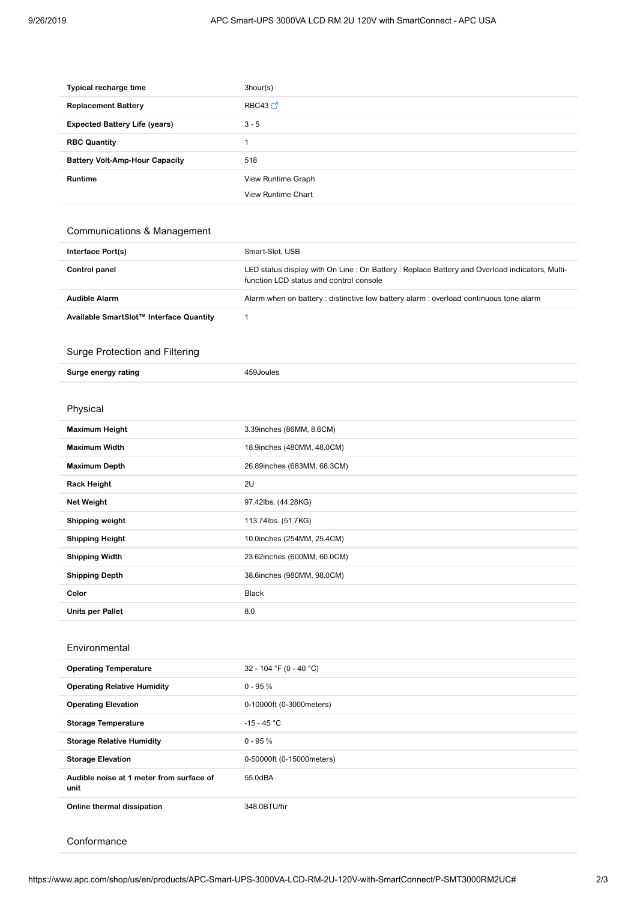| Typical recharge time                 | 3hour(s)                  |
|---------------------------------------|---------------------------|
| <b>Replacement Battery</b>            | RBC43 $\Box$ <sup>7</sup> |
| <b>Expected Battery Life (years)</b>  | $3 - 5$                   |
| <b>RBC Quantity</b>                   |                           |
| <b>Battery Volt-Amp-Hour Capacity</b> | 518                       |
| <b>Runtime</b>                        | View Runtime Graph        |
|                                       | <b>View Runtime Chart</b> |

## Communications & Management

| Interface Port(s)    | Smart-Slot, USB                                                                                                                         |
|----------------------|-----------------------------------------------------------------------------------------------------------------------------------------|
| Control panel        | LED status display with On Line: On Battery: Replace Battery and Overload indicators, Multi-<br>function LCD status and control console |
| <b>Audible Alarm</b> | Alarm when on battery : distinctive low battery alarm : overload continuous tone alarm                                                  |

**Available SmartSlot™ Interface Quantity** 1

## Surge Protection and Filtering

| Surge energy rating     | 459Joules                   |
|-------------------------|-----------------------------|
|                         |                             |
| Physical                |                             |
| <b>Maximum Height</b>   | 3.39inches (86MM, 8.6CM)    |
| <b>Maximum Width</b>    | 18.9inches (480MM, 48.0CM)  |
| <b>Maximum Depth</b>    | 26.89inches (683MM, 68.3CM) |
| <b>Rack Height</b>      | 2U                          |
| <b>Net Weight</b>       | 97.42lbs. (44.28KG)         |
| Shipping weight         | 113.74lbs. (51.7KG)         |
| <b>Shipping Height</b>  | 10.0inches (254MM, 25.4CM)  |
| <b>Shipping Width</b>   | 23.62inches (600MM, 60.0CM) |
| <b>Shipping Depth</b>   | 38.6inches (980MM, 98.0CM)  |
| Color                   | <b>Black</b>                |
| <b>Units per Pallet</b> | 8.0                         |

## Environmental

| <b>Operating Temperature</b>                     | 32 - 104 °F (0 - 40 °C)   |
|--------------------------------------------------|---------------------------|
| <b>Operating Relative Humidity</b>               | $0 - 95 \%$               |
| <b>Operating Elevation</b>                       | 0-10000ft (0-3000 meters) |
| <b>Storage Temperature</b>                       | $-15 - 45 °C$             |
| <b>Storage Relative Humidity</b>                 | $0 - 95%$                 |
| <b>Storage Elevation</b>                         | 0-50000ft (0-15000meters) |
| Audible noise at 1 meter from surface of<br>unit | 55.0dBA                   |
| Online thermal dissipation                       | 348.0BTU/hr               |

**Conformance**